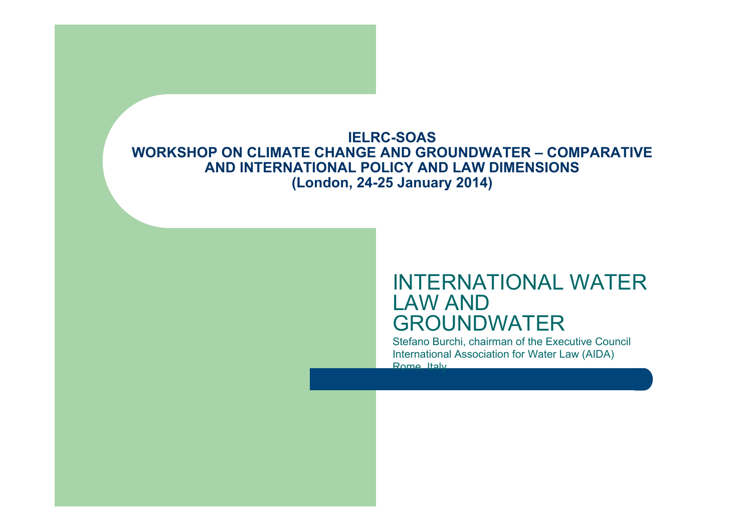#### **IELRC-SOAS WORKSHOP ON CLIMATE CHANGE AND GROUNDWATER – COMPARATIVE AND INTERNATIONAL POLICY AND LAW DIMENSIONS (London, 24-25 January 2014)**

#### INTERNATIONAL WATER LAW AND GROUNDWATER

Stefano Burchi, chairman of the Executive Council International Association for Water Law (AIDA) Rome, Italy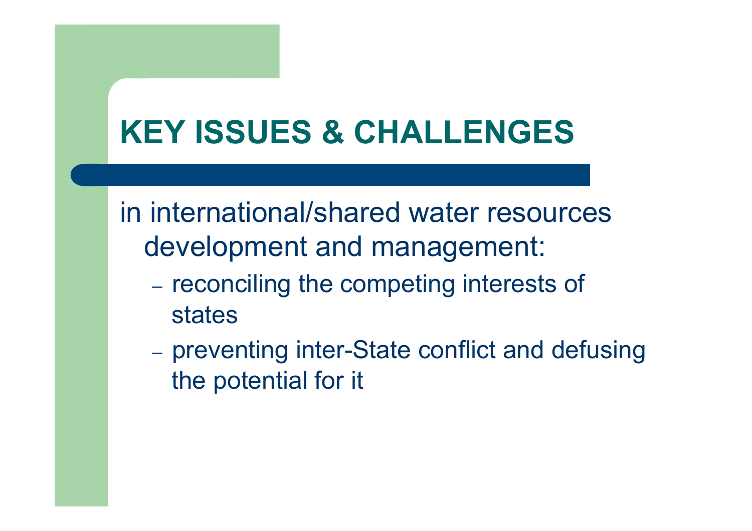# **KEY ISSUES & CHALLENGES**

in international/shared water resources development and management:

- reconciling the competing interests of states
- preventing inter-State conflict and defusing the potential for it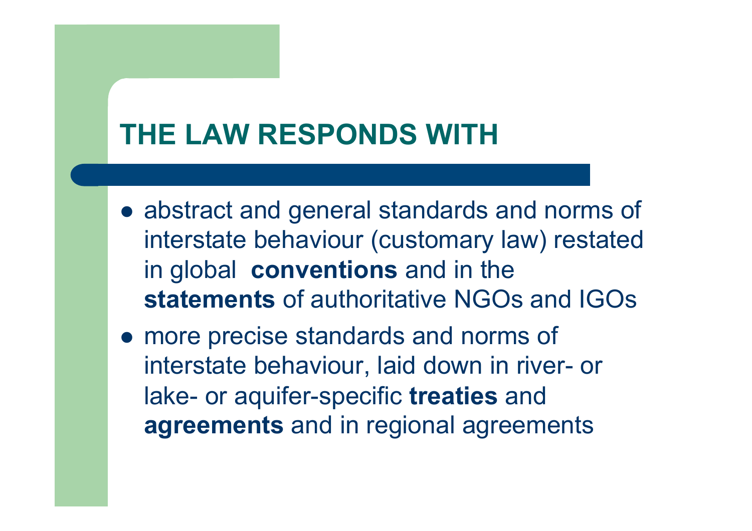## **THE LAW RESPONDS WITH**

- abstract and general standards and norms of interstate behaviour (customary law) restated in global **conventions** and in the **statements** of authoritative NGOs and IGOs
- more precise standards and norms of interstate behaviour, laid down in river- or lake- or aquifer-specific **treaties** and **agreements** and in regional agreements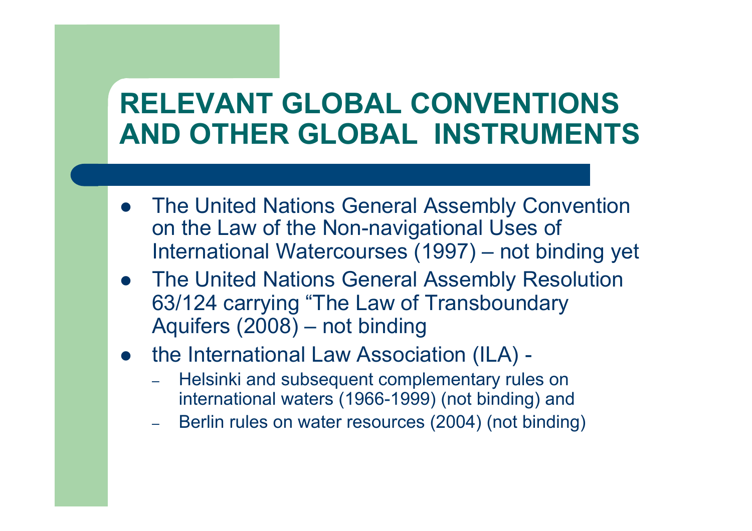## **RELEVANT GLOBAL CONVENTIONS AND OTHER GLOBAL INSTRUMENTS**

- The United Nations General Assembly Convention on the Law of the Non-navigational Uses of International Watercourses (1997) – not binding yet
- **The United Nations General Assembly Resolution** 63/124 carrying "The Law of Transboundary Aquifers (2008) – not binding
- the International Law Association (ILA) -
	- Helsinki and subsequent complementary rules on international waters (1966-1999) (not binding) and
	- Berlin rules on water resources (2004) (not binding)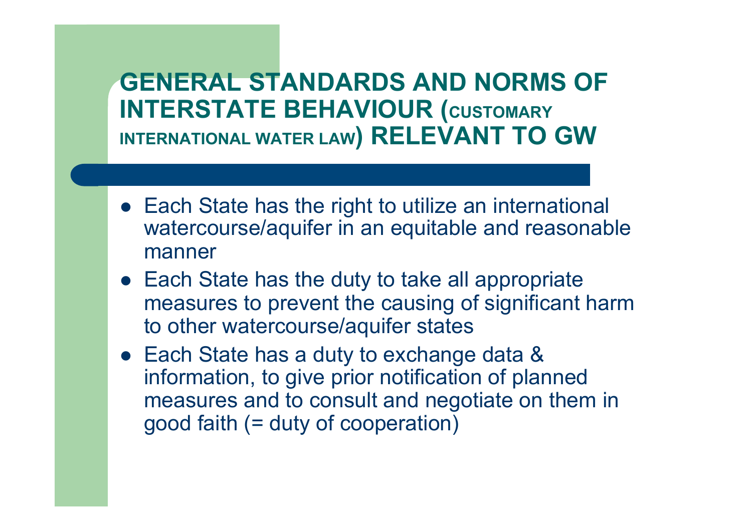### **GENERAL STANDARDS AND NORMS OF INTERSTATE BEHAVIOUR (CUSTOMARY INTERNATIONAL WATER LAW) RELEVANT TO GW**

- Each State has the right to utilize an international watercourse/aquifer in an equitable and reasonable manner
- $\bullet$  Each State has the duty to take all appropriate measures to prevent the causing of significant harm to other watercourse/aquifer states
- Each State has a duty to exchange data & information, to give prior notification of planned measures and to consult and negotiate on them in good faith (= duty of cooperation)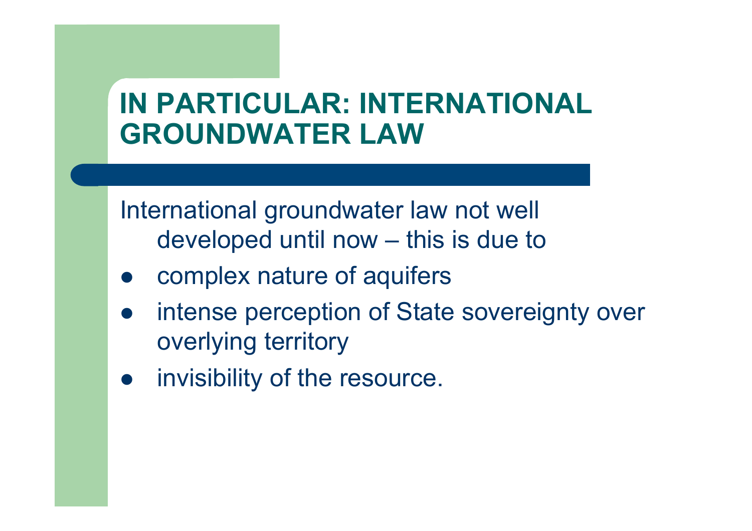## **IN PARTICULAR: INTERNATIONAL GROUNDWATER LAW**

International groundwater law not well developed until now – this is due to

- complex nature of aquifers
- intense perception of State sovereignty over overlying territory
- **•** invisibility of the resource.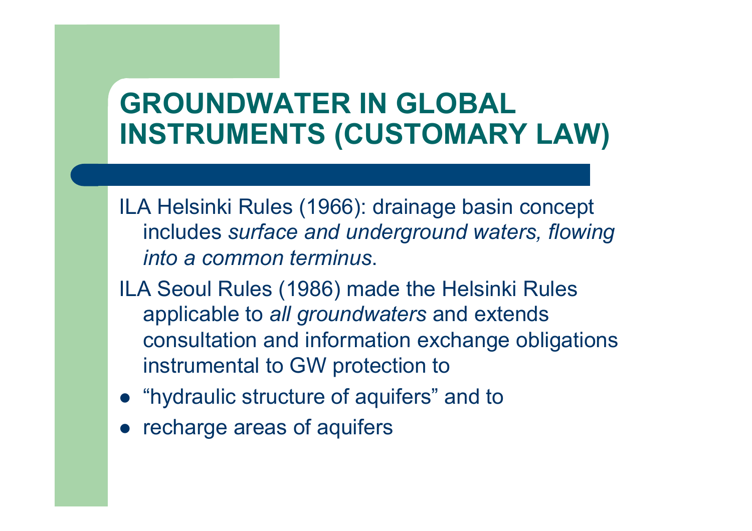## **GROUNDWATER IN GLOBAL INSTRUMENTS (CUSTOMARY LAW)**

ILA Helsinki Rules (1966): drainage basin concept includes *surface and underground waters, flowing into a common terminus*.

- ILA Seoul Rules (1986) made the Helsinki Rules applicable to *all groundwaters* and extends consultation and information exchange obligations instrumental to GW protection to
- "hydraulic structure of aquifers" and to
- recharge areas of aquifers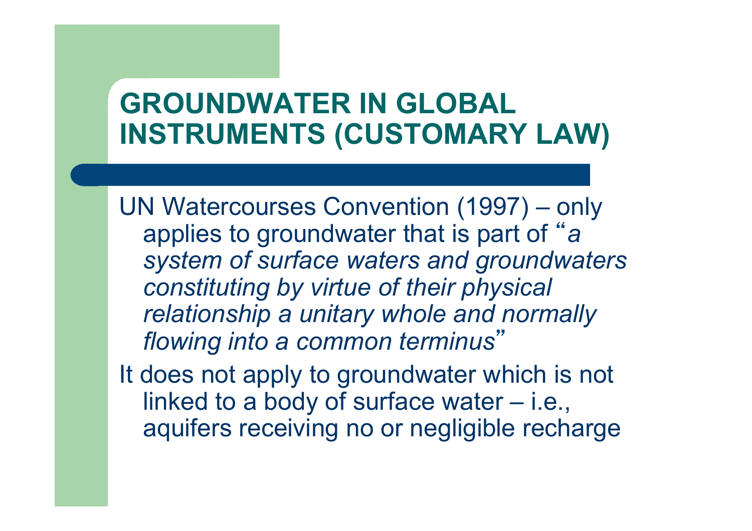## **GROUNDWATER IN GLOBAL INSTRUMENTS (CUSTOMARY LAW)**

UN Watercourses Convention (1997) – only applies to groundwater that is part of " *a system of surface waters and groundwaters constituting by virtue of their physical relationship a unitary whole and normally flowing into a common terminus*"

It does not apply to groundwater which is not linked to a body of surface water – i.e., aquifers receiving no or negligible recharge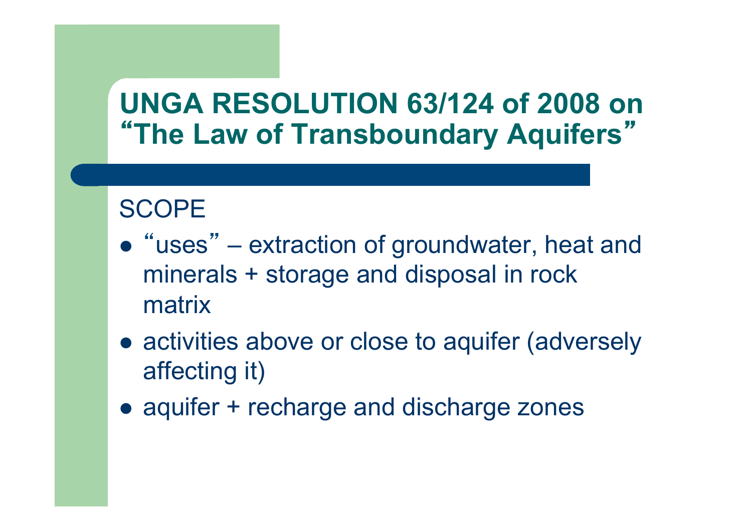### **SCOPE**

- "uses" extraction of groundwater, heat and minerals + storage and disposal in rock matrix
- activities above or close to aquifer (adversely affecting it)
- aquifer + recharge and discharge zones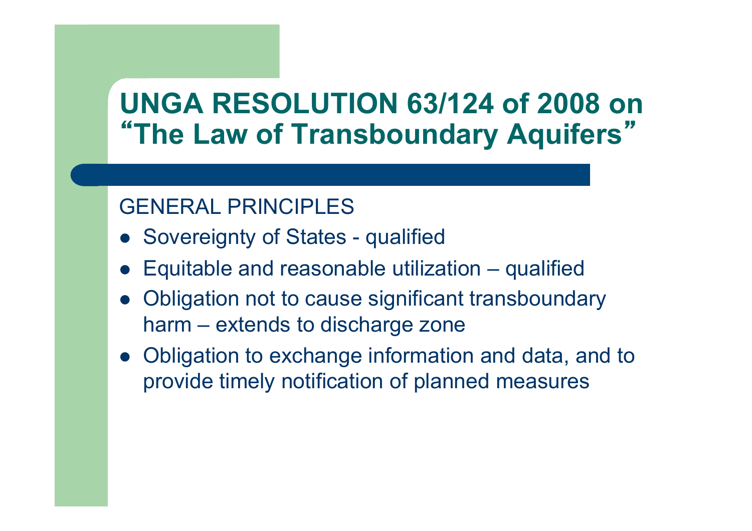### GENERAL PRINCIPLES

- Sovereignty of States qualified
- l Equitable and reasonable utilization qualified
- Obligation not to cause significant transboundary harm – extends to discharge zone
- Obligation to exchange information and data, and to provide timely notification of planned measures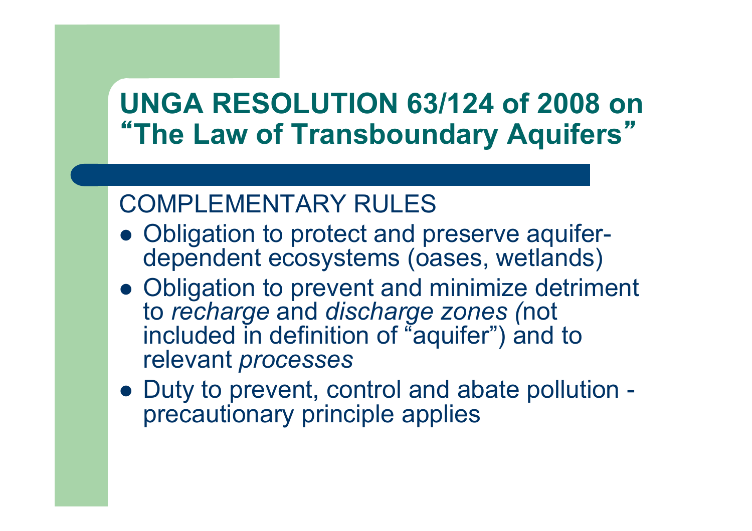### COMPLEMENTARY RULES

- Obligation to protect and preserve aquiferdependent ecosystems (oases, wetlands)
- Obligation to prevent and minimize detriment to *recharge* and *discharge zones (*not included in definition of "aquifer") and to relevant *processes*
- Duty to prevent, control and abate pollution precautionary principle applies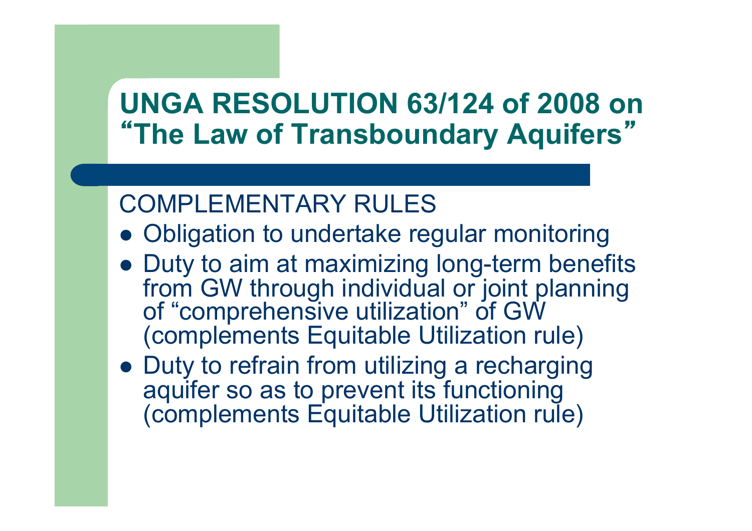### COMPLEMENTARY RULES

- Obligation to undertake regular monitoring
- Duty to aim at maximizing long-term benefits from GW through individual or joint planning of "comprehensive utilization" of GW (complements Equitable Utilization rule)
- Duty to refrain from utilizing a recharging aquifer so as to prevent its functioning (complements Equitable Utilization rule)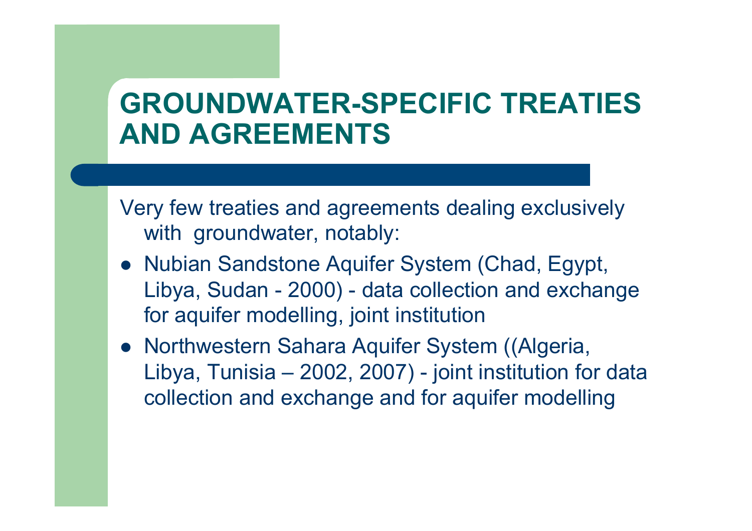## **GROUNDWATER-SPECIFIC TREATIES AND AGREEMENTS**

Very few treaties and agreements dealing exclusively with groundwater, notably:

- Nubian Sandstone Aquifer System (Chad, Egypt, Libya, Sudan - 2000) - data collection and exchange for aquifer modelling, joint institution
- Northwestern Sahara Aquifer System ((Algeria, Libya, Tunisia – 2002, 2007) - joint institution for data collection and exchange and for aquifer modelling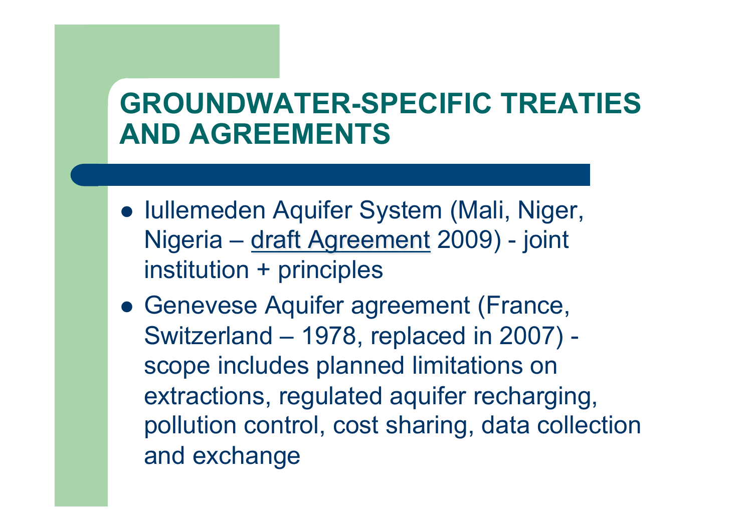## **GROUNDWATER-SPECIFIC TREATIES AND AGREEMENTS**

- Iullemeden Aquifer System (Mali, Niger, Nigeria – draft Agreement 2009) - joint institution + principles
- Genevese Aquifer agreement (France, Switzerland – 1978, replaced in 2007) scope includes planned limitations on extractions, regulated aquifer recharging, pollution control, cost sharing, data collection and exchange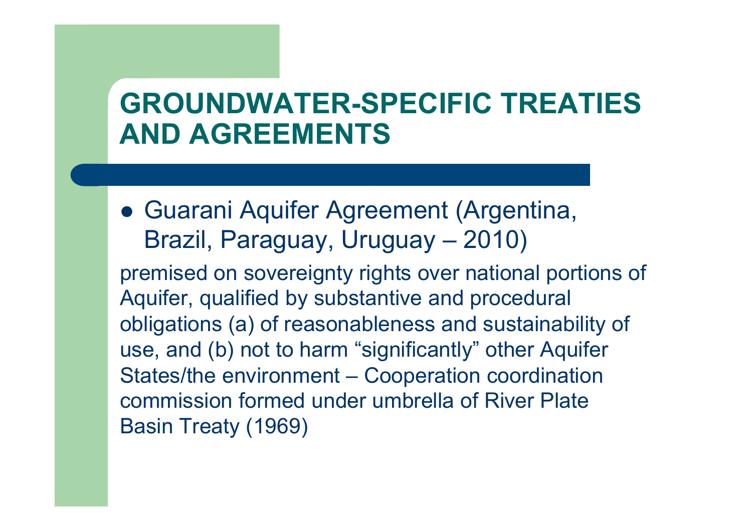## **GROUNDWATER-SPECIFIC TREATIES AND AGREEMENTS**

**• Guarani Aquifer Agreement (Argentina,** Brazil, Paraguay, Uruguay – 2010)

premised on sovereignty rights over national portions of Aquifer, qualified by substantive and procedural obligations (a) of reasonableness and sustainability of use, and (b) not to harm "significantly" other Aquifer States/the environment – Cooperation coordination commission formed under umbrella of River Plate Basin Treaty (1969)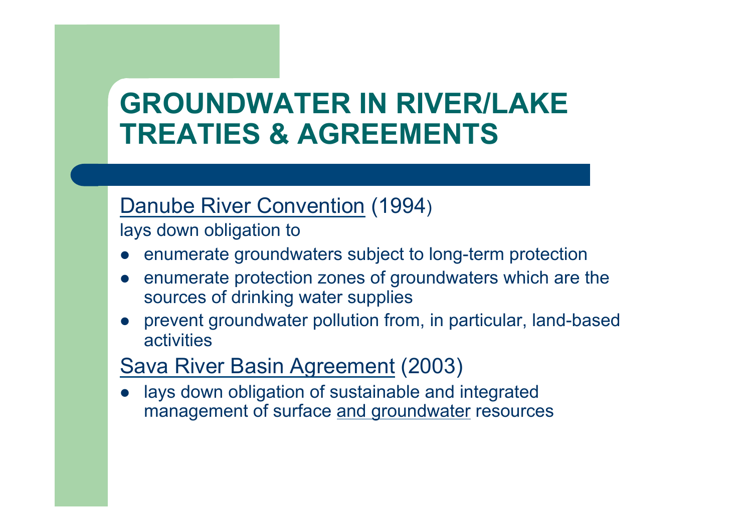## **GROUNDWATER IN RIVER/LAKE TREATIES & AGREEMENTS**

#### Danube River Convention (1994)

lays down obligation to

- enumerate groundwaters subject to long-term protection
- enumerate protection zones of groundwaters which are the sources of drinking water supplies
- l prevent groundwater pollution from, in particular, land-based activities

#### Sava River Basin Agreement (2003)

lays down obligation of sustainable and integrated management of surface and groundwater resources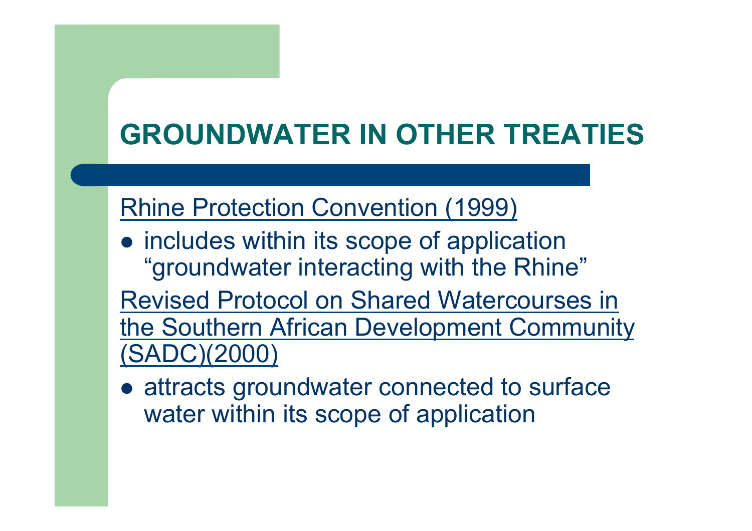# **GROUNDWATER IN OTHER TREATIES**

### Rhine Protection Convention (1999)

• includes within its scope of application "groundwater interacting with the Rhine"

Revised Protocol on Shared Watercourses in the Southern African Development Community (SADC)(2000)

• attracts groundwater connected to surface water within its scope of application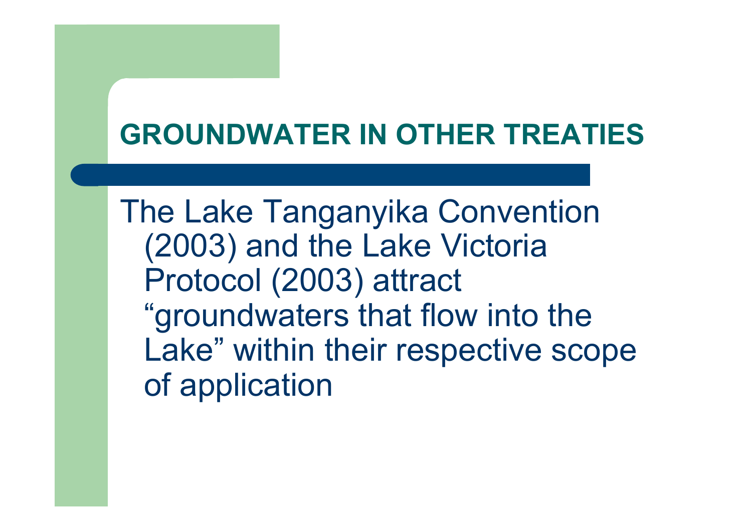## **GROUNDWATER IN OTHER TREATIES**

The Lake Tanganyika Convention (2003) and the Lake Victoria Protocol (2003) attract "groundwaters that flow into the Lake" within their respective scope of application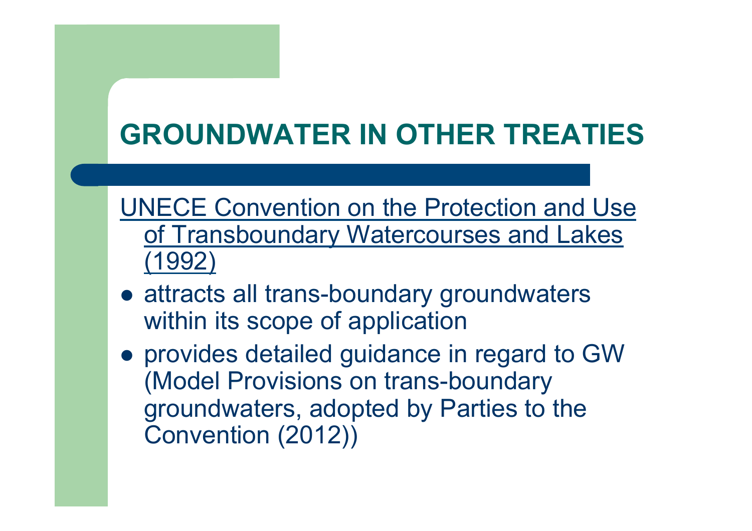# **GROUNDWATER IN OTHER TREATIES**

UNECE Convention on the Protection and Use of Transboundary Watercourses and Lakes (1992)

- attracts all trans-boundary groundwaters within its scope of application
- **.** provides detailed guidance in regard to GW (Model Provisions on trans-boundary groundwaters, adopted by Parties to the Convention (2012))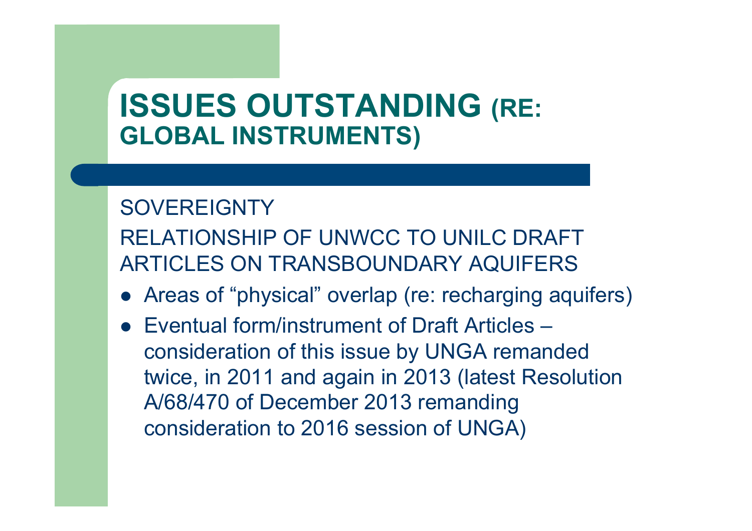## **ISSUES OUTSTANDING (RE: GLOBAL INSTRUMENTS)**

#### **SOVEREIGNTY**

RELATIONSHIP OF UNWCC TO UNILC DRAFT ARTICLES ON TRANSBOUNDARY AQUIFERS

- Areas of "physical" overlap (re: recharging aquifers)
- Eventual form/instrument of Draft Articles consideration of this issue by UNGA remanded twice, in 2011 and again in 2013 (latest Resolution A/68/470 of December 2013 remanding consideration to 2016 session of UNGA)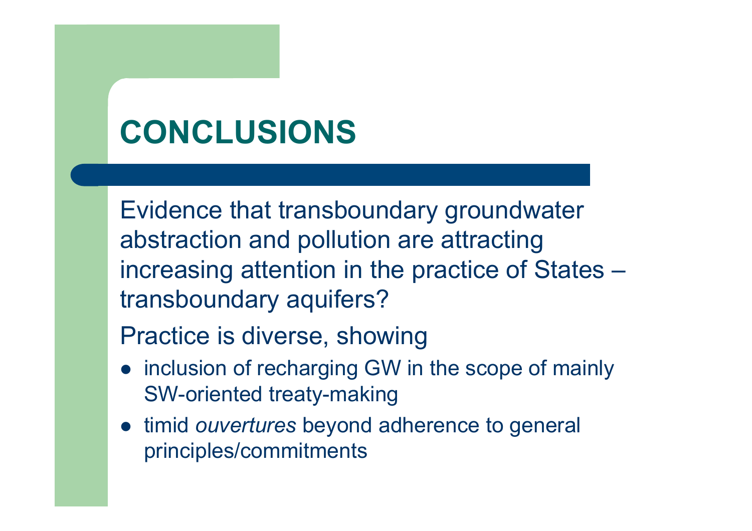# **CONCLUSIONS**

Evidence that transboundary groundwater abstraction and pollution are attracting increasing attention in the practice of States – transboundary aquifers?

Practice is diverse, showing

- inclusion of recharging GW in the scope of mainly SW-oriented treaty-making
- $\bullet$  timid *ouvertures* beyond adherence to general principles/commitments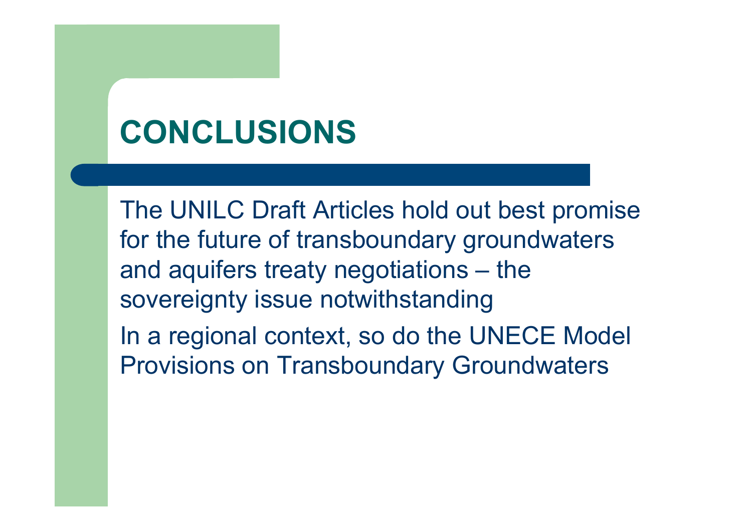# **CONCLUSIONS**

The UNILC Draft Articles hold out best promise for the future of transboundary groundwaters and aquifers treaty negotiations – the sovereignty issue notwithstanding In a regional context, so do the UNECE Model Provisions on Transboundary Groundwaters